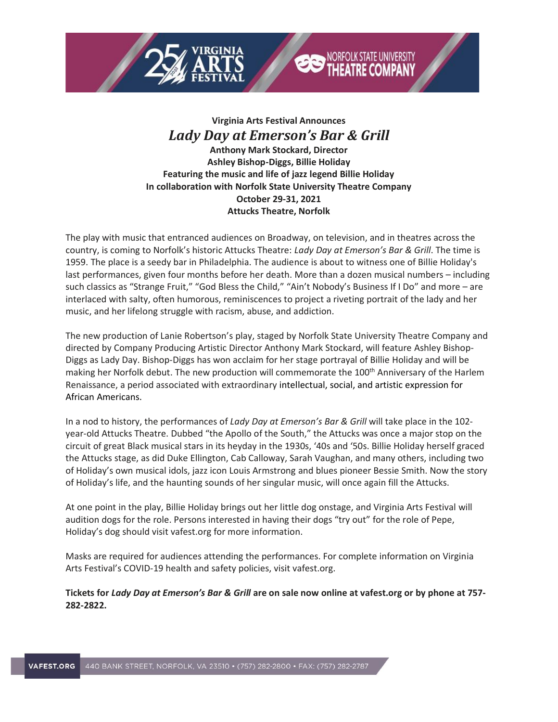



## **Virginia Arts Festival Announces** *Lady Day at Emerson's Bar & Grill*

**Anthony Mark Stockard, Director Ashley Bishop-Diggs, Billie Holiday Featuring the music and life of jazz legend Billie Holiday In collaboration with Norfolk State University Theatre Company October 29-31, 2021 Attucks Theatre, Norfolk**

The play with music that entranced audiences on Broadway, on television, and in theatres across the country, is coming to Norfolk's historic Attucks Theatre: *Lady Day at Emerson's Bar & Grill*. The time is 1959. The place is a seedy bar in Philadelphia. The audience is about to witness one of Billie Holiday's last performances, given four months before her death. More than a dozen musical numbers – including such classics as "Strange Fruit," "God Bless the Child," "Ain't Nobody's Business If I Do" and more - are interlaced with salty, often humorous, reminiscences to project a riveting portrait of the lady and her music, and her lifelong struggle with racism, abuse, and addiction.

The new production of Lanie Robertson's play, staged by Norfolk State University Theatre Company and directed by Company Producing Artistic Director Anthony Mark Stockard, will feature Ashley Bishop-Diggs as Lady Day. Bishop-Diggs has won acclaim for her stage portrayal of Billie Holiday and will be making her Norfolk debut. The new production will commemorate the 100<sup>th</sup> Anniversary of the Harlem Renaissance, a period associated with extraordinary intellectual, social, and artistic expression for African Americans.

In a nod to history, the performances of *Lady Day at Emerson's Bar & Grill* will take place in the 102 year-old Attucks Theatre. Dubbed "the Apollo of the South," the Attucks was once a major stop on the circuit of great Black musical stars in its heyday in the 1930s, '40s and '50s. Billie Holiday herself graced the Attucks stage, as did Duke Ellington, Cab Calloway, Sarah Vaughan, and many others, including two of Holiday's own musical idols, jazz icon Louis Armstrong and blues pioneer Bessie Smith. Now the story of Holiday's life, and the haunting sounds of her singular music, will once again fill the Attucks.

At one point in the play, Billie Holiday brings out her little dog onstage, and Virginia Arts Festival will audition dogs for the role. Persons interested in having their dogs "try out" for the role of Pepe, Holiday's dog should visit vafest.org for more information.

Masks are required for audiences attending the performances. For complete information on Virginia Arts Festival's COVID-19 health and safety policies, visit vafest.org.

Tickets for Lady Day at Emerson's Bar & Grill are on sale now online at vafest.org or by phone at 757-**282-2822.**